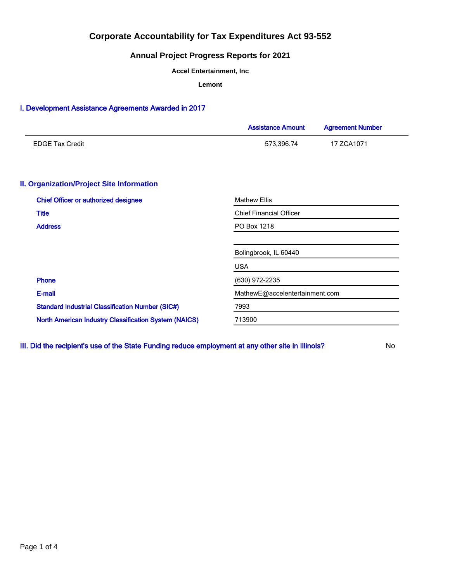## **Annual Project Progress Reports for 2021**

**Accel Entertainment, Inc**

**Lemont**

### I. Development Assistance Agreements Awarded in 2017

|                                                              | <b>Assistance Amount</b>       | <b>Agreement Number</b> |  |  |  |
|--------------------------------------------------------------|--------------------------------|-------------------------|--|--|--|
| <b>EDGE Tax Credit</b>                                       | 573,396.74                     | 17 ZCA1071              |  |  |  |
| <b>II. Organization/Project Site Information</b>             |                                |                         |  |  |  |
| <b>Chief Officer or authorized designee</b>                  | <b>Mathew Ellis</b>            |                         |  |  |  |
| <b>Title</b>                                                 | <b>Chief Financial Officer</b> |                         |  |  |  |
| <b>Address</b>                                               | PO Box 1218                    |                         |  |  |  |
|                                                              | Bolingbrook, IL 60440          |                         |  |  |  |
|                                                              | <b>USA</b>                     |                         |  |  |  |
| <b>Phone</b>                                                 | (630) 972-2235                 |                         |  |  |  |
| E-mail                                                       | MathewE@accelentertainment.com |                         |  |  |  |
| <b>Standard Industrial Classification Number (SIC#)</b>      | 7993                           |                         |  |  |  |
| <b>North American Industry Classification System (NAICS)</b> | 713900                         |                         |  |  |  |
|                                                              |                                |                         |  |  |  |

III. Did the recipient's use of the State Funding reduce employment at any other site in Illinois? No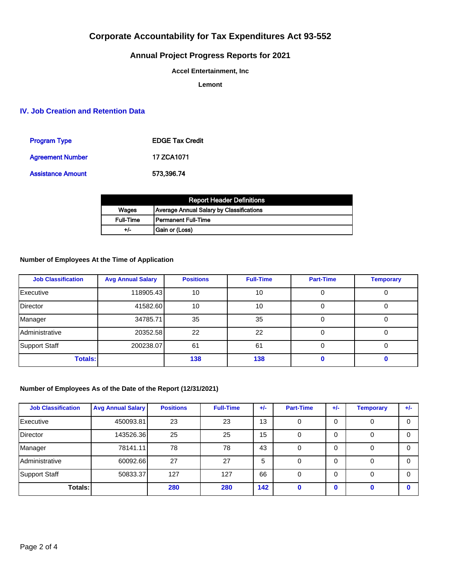# **Annual Project Progress Reports for 2021**

**Accel Entertainment, Inc**

**Lemont**

## **IV. Job Creation and Retention Data**

| <b>Program Type</b>      | <b>EDGE Tax Credit</b> |
|--------------------------|------------------------|
| <b>Agreement Number</b>  | 17 ZCA1071             |
| <b>Assistance Amount</b> | 573.396.74             |

|                  | <b>Report Header Definitions</b>         |
|------------------|------------------------------------------|
| Wages            | Average Annual Salary by Classifications |
| <b>Full-Time</b> | l Permanent Full-Time                    |
| +/-              | Gain or (Loss)                           |

### **Number of Employees At the Time of Application**

| <b>Job Classification</b> | <b>Avg Annual Salary</b> | <b>Positions</b> | <b>Full-Time</b> | <b>Part-Time</b> | <b>Temporary</b> |
|---------------------------|--------------------------|------------------|------------------|------------------|------------------|
| Executive                 | 118905.43                | 10               | 10               | 0                |                  |
| Director                  | 41582.60                 | 10               | 10               | 0                |                  |
| Manager                   | 34785.71                 | 35               | 35               |                  |                  |
| Administrative            | 20352.58                 | 22               | 22               |                  |                  |
| Support Staff             | 200238.07                | 61               | 61               | 0                | U                |
| <b>Totals:</b>            |                          | 138              | 138              |                  |                  |

### **Number of Employees As of the Date of the Report (12/31/2021)**

| <b>Job Classification</b> | <b>Avg Annual Salary</b> | <b>Positions</b> | <b>Full-Time</b> | $+/-$ | <b>Part-Time</b> | $+/-$ | <b>Temporary</b> | $+/-$    |
|---------------------------|--------------------------|------------------|------------------|-------|------------------|-------|------------------|----------|
| Executive                 | 450093.81                | 23               | 23               | 13    | 0                |       |                  | 0        |
| Director                  | 143526.36                | 25               | 25               | 15    | 0                |       |                  | 0        |
| Manager                   | 78141.11                 | 78               | 78               | 43    | 0                | 0     |                  | 0        |
| Administrative            | 60092.66                 | 27               | 27               | 5     | 0                | 0     | 0                | $\Omega$ |
| Support Staff             | 50833.37                 | 127              | 127              | 66    | 0                | 0     |                  | 0        |
| Totals: I                 |                          | 280              | 280              | 142   |                  |       |                  |          |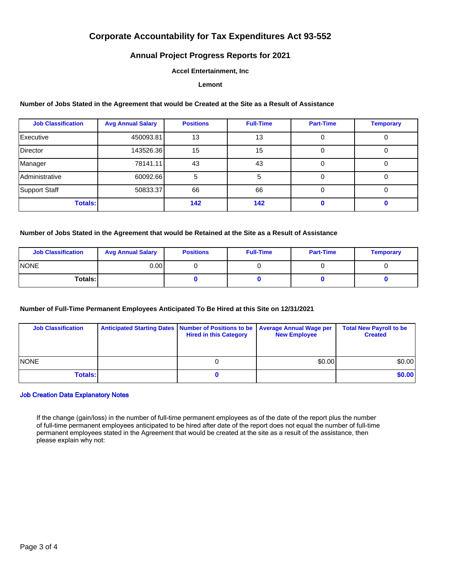## **Annual Project Progress Reports for 2021**

### **Accel Entertainment, Inc**

#### **Lemont**

### **Number of Jobs Stated in the Agreement that would be Created at the Site as a Result of Assistance**

| <b>Job Classification</b> | <b>Avg Annual Salary</b> | <b>Positions</b> | <b>Full-Time</b> | <b>Part-Time</b> | <b>Temporary</b> |
|---------------------------|--------------------------|------------------|------------------|------------------|------------------|
| Executive                 | 450093.81                | 13               | 13               |                  |                  |
| Director                  | 143526.36                | 15               | 15               |                  |                  |
| Manager                   | 78141.11                 | 43               | 43               |                  |                  |
| <b>Administrative</b>     | 60092.66                 | 5                | ٠h               |                  |                  |
| Support Staff             | 50833.37                 | 66               | 66               |                  | $\mathbf{0}$     |
| <b>Totals:</b>            |                          | 142              | 142              |                  |                  |

#### **Number of Jobs Stated in the Agreement that would be Retained at the Site as a Result of Assistance**

| <b>Job Classification</b> | <b>Avg Annual Salary</b> | <b>Positions</b> | <b>Full-Time</b> | <b>Part-Time</b> | <b>Temporary</b> |
|---------------------------|--------------------------|------------------|------------------|------------------|------------------|
| <b>INONE</b>              | 0.00 l                   |                  |                  |                  |                  |
| Totals: I                 |                          |                  |                  |                  |                  |

### **Number of Full-Time Permanent Employees Anticipated To Be Hired at this Site on 12/31/2021**

| <b>Job Classification</b> | Anticipated Starting Dates   Number of Positions to be   Average Annual Wage per<br><b>Hired in this Category</b> | <b>New Employee</b> | <b>Total New Payroll to be</b><br><b>Created</b> |
|---------------------------|-------------------------------------------------------------------------------------------------------------------|---------------------|--------------------------------------------------|
| <b>NONE</b>               |                                                                                                                   | \$0.00              | \$0.00]                                          |
| <b>Totals:</b>            |                                                                                                                   |                     | \$0.00                                           |

#### Job Creation Data Explanatory Notes

If the change (gain/loss) in the number of full-time permanent employees as of the date of the report plus the number of full-time permanent employees anticipated to be hired after date of the report does not equal the number of full-time permanent employees stated in the Agreement that would be created at the site as a result of the assistance, then please explain why not: